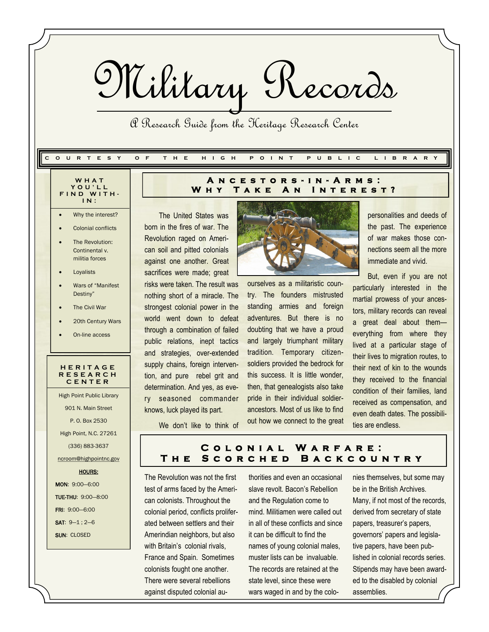Military Records

A Research Guide from the Heritage Research Center

#### **C O U R T E S Y O F T H E H I G H P O I N T P U B L I C L I B R A R Y**

- **W H A T Y O U ' L L F I N D W I T H - I N :**
- Why the interest?
- Colonial conflicts
- The Revolution: Continental v. militia forces
- Loyalists
- Wars of "Manifest Destiny"
- The Civil War
- 20th Century Wars
- On-line access

#### **H E R I T A G E R E S E A R C H C E N T E R**

High Point Public Library 901 N. Main Street P. O. Box 2530 High Point, N.C. 27261 (336) 883-3637 ncroom@highpointnc.gov HOURS: MON: 9:00—6:00 TUE-THU: 9:00—8:00

FRI: 9:00—6:00 SAT: 9—1 ; 2—6

**SUN: CLOSED** 

#### **A n c e s t o r s - i n - A r m s :**  WHY TAKE AN INTEREST?

The United States was born in the fires of war. The Revolution raged on American soil and pitted colonials against one another. Great sacrifices were made; great risks were taken. The result was nothing short of a miracle. The strongest colonial power in the world went down to defeat through a combination of failed public relations, inept tactics and strategies, over-extended supply chains, foreign intervention, and pure rebel grit and determination. And yes, as every seasoned commander knows, luck played its part.



ourselves as a militaristic country. The founders mistrusted standing armies and foreign adventures. But there is no doubting that we have a proud and largely triumphant military tradition. Temporary citizensoldiers provided the bedrock for this success. It is little wonder, then, that genealogists also take pride in their individual soldierancestors. Most of us like to find out how we connect to the great personalities and deeds of the past. The experience of war makes those connections seem all the more immediate and vivid.

But, even if you are not particularly interested in the martial prowess of your ancestors, military records can reveal a great deal about them everything from where they lived at a particular stage of their lives to migration routes, to their next of kin to the wounds they received to the financial condition of their families, land received as compensation, and even death dates. The possibilities are endless.

We don't like to think of

### **C o l o n i a l W a r f a r e : T h e S c o r c h e d B a c k c o u n t r y**

The Revolution was not the first test of arms faced by the American colonists. Throughout the colonial period, conflicts proliferated between settlers and their Amerindian neighbors, but also with Britain's colonial rivals. France and Spain. Sometimes colonists fought one another. There were several rebellions against disputed colonial au-

thorities and even an occasional slave revolt. Bacon's Rebellion and the Regulation come to mind. Militiamen were called out in all of these conflicts and since it can be difficult to find the names of young colonial males, muster lists can be invaluable. The records are retained at the state level, since these were wars waged in and by the colonies themselves, but some may be in the British Archives. Many, if not most of the records, derived from secretary of state papers, treasurer's papers, governors' papers and legislative papers, have been published in colonial records series. Stipends may have been awarded to the disabled by colonial assemblies.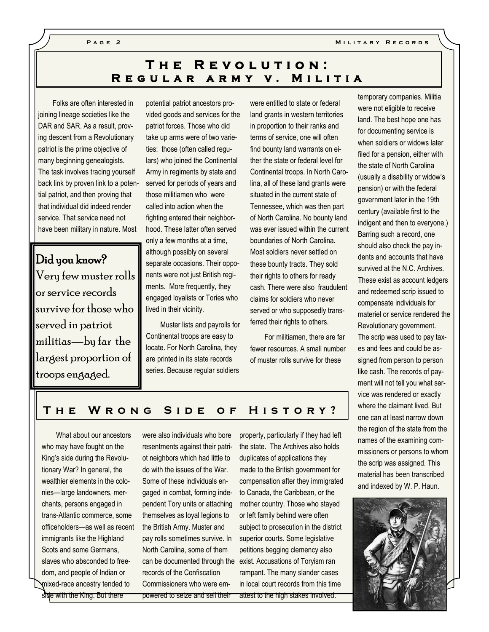**M i l i t a r y R e c o r d s**

## **T h e R e v o l u t i o n :**  REGULAR ARMY V. MILITIA

Folks are often interested in joining lineage societies like the DAR and SAR. As a result, proving descent from a Revolutionary patriot is the prime objective of many beginning genealogists. The task involves tracing yourself back link by proven link to a potential patriot, and then proving that that individual did indeed render service. That service need not have been military in nature. Most

Did you know? Very few muster rolls or service records survive for those who served in patriot militias—by far the largest proportion of troops engaged.

potential patriot ancestors provided goods and services for the patriot forces. Those who did take up arms were of two varieties: those (often called regulars) who joined the Continental Army in regiments by state and served for periods of years and those militiamen who were called into action when the fighting entered their neighborhood. These latter often served only a few months at a time, although possibly on several separate occasions. Their opponents were not just British regiments. More frequently, they engaged loyalists or Tories who lived in their vicinity.

Muster lists and payrolls for Continental troops are easy to locate. For North Carolina, they are printed in its state records series. Because regular soldiers

were entitled to state or federal land grants in western territories in proportion to their ranks and terms of service, one will often find bounty land warrants on either the state or federal level for Continental troops. In North Carolina, all of these land grants were situated in the current state of Tennessee, which was then part of North Carolina. No bounty land was ever issued within the current boundaries of North Carolina. Most soldiers never settled on these bounty tracts. They sold their rights to others for ready cash. There were also fraudulent claims for soldiers who never served or who supposedly transferred their rights to others.

For militiamen, there are far fewer resources. A small number of muster rolls survive for these

temporary companies. Militia were not eligible to receive land. The best hope one has for documenting service is when soldiers or widows later filed for a pension, either with the state of North Carolina (usually a disability or widow's pension) or with the federal government later in the 19th century (available first to the indigent and then to everyone.) Barring such a record, one should also check the pay indents and accounts that have survived at the N.C. Archives. These exist as account ledgers and redeemed scrip issued to compensate individuals for materiel or service rendered the Revolutionary government. The scrip was used to pay taxes and fees and could be assigned from person to person like cash. The records of payment will not tell you what service was rendered or exactly where the claimant lived. But one can at least narrow down the region of the state from the names of the examining commissioners or persons to whom the scrip was assigned. This material has been transcribed and indexed by W. P. Haun.



### THE WRONG SIDE OF HISTORY?

What about our ancestors who may have fought on the King's side during the Revolutionary War? In general, the wealthier elements in the colonies—large landowners, merchants, persons engaged in trans-Atlantic commerce, some officeholders—as well as recent immigrants like the Highland Scots and some Germans, slaves who absconded to freedom, and people of Indian or mixed-race ancestry tended to side with the King. But there

were also individuals who bore resentments against their patriot neighbors which had little to do with the issues of the War. Some of these individuals engaged in combat, forming independent Tory units or attaching themselves as loyal legions to the British Army. Muster and pay rolls sometimes survive. In North Carolina, some of them records of the Confiscation Commissioners who were empowered to seize and sell their

can be documented through the exist. Accusations of Toryism ran property, particularly if they had left the state. The Archives also holds duplicates of applications they made to the British government for compensation after they immigrated to Canada, the Caribbean, or the mother country. Those who stayed or left family behind were often subject to prosecution in the district superior courts. Some legislative petitions begging clemency also rampant. The many slander cases in local court records from this time attest to the high stakes involved.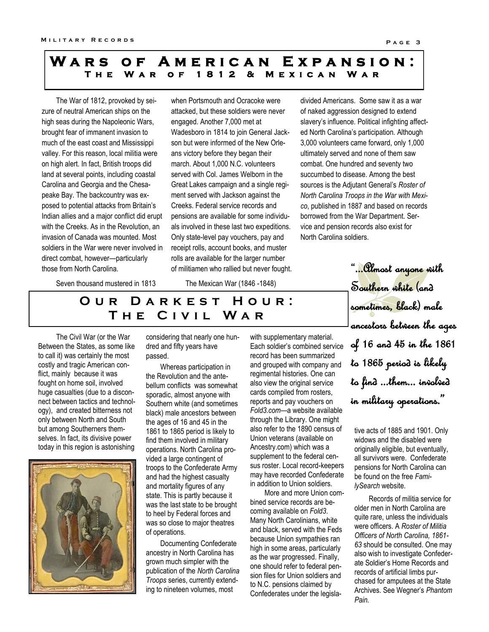## WARS OF AMERICAN EXPANSION: **T h e W a r o f 1 8 1 2 & M e x i c a n W a r**

The War of 1812, provoked by seizure of neutral American ships on the high seas during the Napoleonic Wars, brought fear of immanent invasion to much of the east coast and Mississippi valley. For this reason, local militia were on high alert. In fact, British troops did land at several points, including coastal Carolina and Georgia and the Chesapeake Bay. The backcountry was exposed to potential attacks from Britain's Indian allies and a major conflict did erupt with the Creeks. As in the Revolution, an invasion of Canada was mounted. Most soldiers in the War were never involved in direct combat, however—particularly those from North Carolina.

when Portsmouth and Ocracoke were attacked, but these soldiers were never engaged. Another 7,000 met at Wadesboro in 1814 to join General Jackson but were informed of the New Orleans victory before they began their march. About 1,000 N.C. volunteers served with Col. James Welborn in the Great Lakes campaign and a single regiment served with Jackson against the Creeks. Federal service records and pensions are available for some individuals involved in these last two expeditions. Only state-level pay vouchers, pay and receipt rolls, account books, and muster rolls are available for the larger number of militiamen who rallied but never fought. divided Americans. Some saw it as a war of naked aggression designed to extend slavery's influence. Political infighting affected North Carolina's participation. Although 3,000 volunteers came forward, only 1,000 ultimately served and none of them saw combat. One hundred and seventy two succumbed to disease. Among the best sources is the Adjutant General's *Roster of North Carolina Troops in the War with Mexico*, published in 1887 and based on records borrowed from the War Department. Service and pension records also exist for North Carolina soldiers.

Seven thousand mustered in 1813

The Mexican War (1846 -1848)

# **OUR DARKEST HOUR: T h e C i v i l W a r**

The Civil War (or the War Between the States, as some like to call it) was certainly the most costly and tragic American conflict, mainly because it was fought on home soil, involved huge casualties (due to a disconnect between tactics and technology), and created bitterness not only between North and South but among Southerners themselves. In fact, its divisive power today in this region is astonishing



considering that nearly one hundred and fifty years have passed.

Whereas participation in the Revolution and the antebellum conflicts was somewhat sporadic, almost anyone with Southern white (and sometimes black) male ancestors between the ages of 16 and 45 in the 1861 to 1865 period is likely to find them involved in military operations. North Carolina provided a large contingent of troops to the Confederate Army and had the highest casualty and mortality figures of any state. This is partly because it was the last state to be brought to heel by Federal forces and was so close to major theatres of operations.

Documenting Confederate ancestry in North Carolina has grown much simpler with the publication of the *North Carolina Troops* series, currently extending to nineteen volumes, most

with supplementary material. Each soldier's combined service record has been summarized and grouped with company and regimental histories. One can also view the original service cards compiled from rosters, reports and pay vouchers on *Fold3.com*—a website available through the Library. One might also refer to the 1890 census of Union veterans (available on Ancestry.com) which was a supplement to the federal census roster. Local record-keepers may have recorded Confederate in addition to Union soldiers.

More and more Union combined service records are becoming available on *Fold3*. Many North Carolinians, white and black, served with the Feds because Union sympathies ran high in some areas, particularly as the war progressed. Finally, one should refer to federal pension files for Union soldiers and to N.C. pensions claimed by Confederates under the legisla-

"...Almost anyone with Southern white (and sometimes, black) male ancestors between the ages of 16 and 45 in the 1861 to 1865 period is likely to find ...them... involved in military operations."

tive acts of 1885 and 1901. Only widows and the disabled were originally eligible, but eventually, all survivors were. Confederate pensions for North Carolina can be found on the free *FamilySearch* website.

Records of militia service for older men in North Carolina are quite rare, unless the individuals were officers. A *Roster of Militia Officers of North Carolina, 1861- 63* should be consulted. One may also wish to investigate Confederate Soldier's Home Records and records of artificial limbs purchased for amputees at the State Archives. See Wegner's *Phantom Pain.*